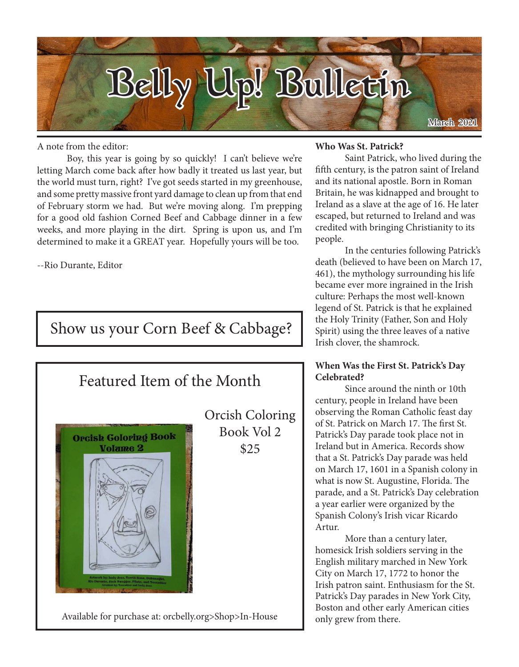

A note from the editor:

Boy, this year is going by so quickly! I can't believe we're letting March come back after how badly it treated us last year, but the world must turn, right? I've got seeds started in my greenhouse, and some pretty massive front yard damage to clean up from that end of February storm we had. But we're moving along. I'm prepping for a good old fashion Corned Beef and Cabbage dinner in a few weeks, and more playing in the dirt. Spring is upon us, and I'm determined to make it a GREAT year. Hopefully yours will be too.

--Rio Durante, Editor

# Show us your Corn Beef & Cabbage?



#### **Who Was St. Patrick?**

Saint Patrick, who lived during the fifth century, is the patron saint of Ireland and its national apostle. Born in Roman Britain, he was kidnapped and brought to Ireland as a slave at the age of 16. He later escaped, but returned to Ireland and was credited with bringing Christianity to its people.

In the centuries following Patrick's death (believed to have been on March 17, 461), the mythology surrounding his life became ever more ingrained in the Irish culture: Perhaps the most well-known legend of St. Patrick is that he explained the Holy Trinity (Father, Son and Holy Spirit) using the three leaves of a native Irish clover, the shamrock.

### **When Was the First St. Patrick's Day Celebrated?**

Since around the ninth or 10th century, people in Ireland have been observing the Roman Catholic feast day of St. Patrick on March 17. The first St. Patrick's Day parade took place not in Ireland but in America. Records show that a St. Patrick's Day parade was held on March 17, 1601 in a Spanish colony in what is now St. Augustine, Florida. The parade, and a St. Patrick's Day celebration a year earlier were organized by the Spanish Colony's Irish vicar Ricardo Artur.

More than a century later, homesick Irish soldiers serving in the English military marched in New York City on March 17, 1772 to honor the Irish patron saint. Enthusiasm for the St. Patrick's Day parades in New York City, Boston and other early American cities only grew from there.